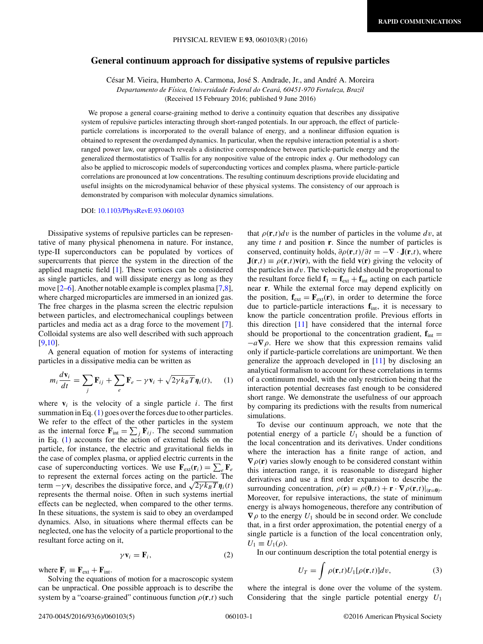## **General continuum approach for dissipative systems of repulsive particles**

César M. Vieira, Humberto A. Carmona, José S. Andrade, Jr., and André A. Moreira *Departamento de F´ısica, Universidade Federal do Ceara, 60451-970 Fortaleza, Brazil ´* (Received 15 February 2016; published 9 June 2016)

We propose a general coarse-graining method to derive a continuity equation that describes any dissipative system of repulsive particles interacting through short-ranged potentials. In our approach, the effect of particleparticle correlations is incorporated to the overall balance of energy, and a nonlinear diffusion equation is obtained to represent the overdamped dynamics. In particular, when the repulsive interaction potential is a shortranged power law, our approach reveals a distinctive correspondence between particle-particle energy and the generalized thermostatistics of Tsallis for any nonpositive value of the entropic index *q*. Our methodology can also be applied to microscopic models of superconducting vortices and complex plasma, where particle-particle correlations are pronounced at low concentrations. The resulting continuum descriptions provide elucidating and useful insights on the microdynamical behavior of these physical systems. The consistency of our approach is demonstrated by comparison with molecular dynamics simulations.

DOI: [10.1103/PhysRevE.93.060103](http://dx.doi.org/10.1103/PhysRevE.93.060103)

Dissipative systems of repulsive particles can be representative of many physical phenomena in nature. For instance, type-II superconductors can be populated by vortices of supercurrents that pierce the system in the direction of the applied magnetic field [\[1\]](#page-4-0). These vortices can be considered as single particles, and will dissipate energy as long as they move [\[2–6\]](#page-4-0). Another notable example is complex plasma [\[7,8\]](#page-4-0), where charged microparticles are immersed in an ionized gas. The free charges in the plasma screen the electric repulsion between particles, and electromechanical couplings between particles and media act as a drag force to the movement [\[7\]](#page-4-0). Colloidal systems are also well described with such approach [\[9,10\]](#page-4-0).

A general equation of motion for systems of interacting particles in a dissipative media can be written as

$$
m_i \frac{d\mathbf{v}_i}{dt} = \sum_j \mathbf{F}_{ij} + \sum_e \mathbf{F}_e - \gamma \mathbf{v}_i + \sqrt{2\gamma k_B T} \eta_i(t), \quad (1)
$$

where  $\mathbf{v}_i$  is the velocity of a single particle *i*. The first summation in Eq. (1) goes over the forces due to other particles. We refer to the effect of the other particles in the system as the internal force  $\mathbf{F}_{int} = \sum_j \mathbf{F}_{ij}$ . The second summation in Eq. (1) accounts for the action of external fields on the particle, for instance, the electric and gravitational fields in the case of complex plasma, or applied electric currents in the case of superconducting vortices. We use  $\mathbf{F}_{ext}(\mathbf{r}_i) = \sum_{e} \mathbf{F}_{e}$ to represent the external forces acting on the particle. The term  $-\gamma \mathbf{v}_i$  describes the dissipative force, and  $\sqrt{2\gamma k_B T} \mathbf{\eta}_i(t)$ represents the thermal noise. Often in such systems inertial effects can be neglected, when compared to the other terms. In these situations, the system is said to obey an overdamped dynamics. Also, in situations where thermal effects can be neglected, one has the velocity of a particle proportional to the resultant force acting on it,

$$
\gamma \mathbf{v}_i = \mathbf{F}_i,\tag{2}
$$

where  $\mathbf{F}_i \equiv \mathbf{F}_{ext} + \mathbf{F}_{int}$ .

Solving the equations of motion for a macroscopic system can be unpractical. One possible approach is to describe the system by a "coarse-grained" continuous function  $\rho(\mathbf{r},t)$  such

that  $\rho(\mathbf{r},t)dv$  is the number of particles in the volume dv, at any time *t* and position **r**. Since the number of particles is conserved, continuity holds,  $\partial \rho(\mathbf{r},t)/\partial t = -\nabla \cdot \mathbf{J}(\mathbf{r},t)$ , where  $J(r,t) \equiv \rho(r,t)v(r)$ , with the field  $v(r)$  giving the velocity of the particles in *dv*. The velocity field should be proportional to the resultant force field  $\mathbf{f}_1 = \mathbf{f}_{ext} + \mathbf{f}_{int}$  acting on each particle near **r**. While the external force may depend explicitly on the position,  $\mathbf{f}_{ext} = \mathbf{F}_{ext}(\mathbf{r})$ , in order to determine the force due to particle-particle interactions **f**int, it is necessary to know the particle concentration profile. Previous efforts in this direction [\[11\]](#page-4-0) have considered that the internal force should be proportional to the concentration gradient,  $\mathbf{f}_{int}$  = −*a***∇***ρ*. Here we show that this expression remains valid only if particle-particle correlations are unimportant. We then generalize the approach developed in [\[11\]](#page-4-0) by disclosing an analytical formalism to account for these correlations in terms of a continuum model, with the only restriction being that the interaction potential decreases fast enough to be considered short range. We demonstrate the usefulness of our approach by comparing its predictions with the results from numerical simulations.

To devise our continuum approach, we note that the potential energy of a particle *U*<sup>1</sup> should be a function of the local concentration and its derivatives. Under conditions where the interaction has a finite range of action, and  $\nabla \rho(\mathbf{r})$  varies slowly enough to be considered constant within this interaction range, it is reasonable to disregard higher derivatives and use a first order expansion to describe the surrounding concentration,  $\rho(\mathbf{r}) = \rho(\mathbf{0}, t) + \mathbf{r} \cdot \nabla \rho(\mathbf{r}, t)|_{(\mathbf{r}=\mathbf{0})}$ . Moreover, for repulsive interactions, the state of minimum energy is always homogeneous, therefore any contribution of  $\nabla \rho$  to the energy  $U_1$  should be in second order. We conclude that, in a first order approximation, the potential energy of a single particle is a function of the local concentration only,  $U_1 \equiv U_1(\rho)$ .

In our continuum description the total potential energy is

$$
U_T = \int \rho(\mathbf{r}, t) U_1[\rho(\mathbf{r}, t)] dv,
$$
 (3)

where the integral is done over the volume of the system. Considering that the single particle potential energy *U*<sup>1</sup>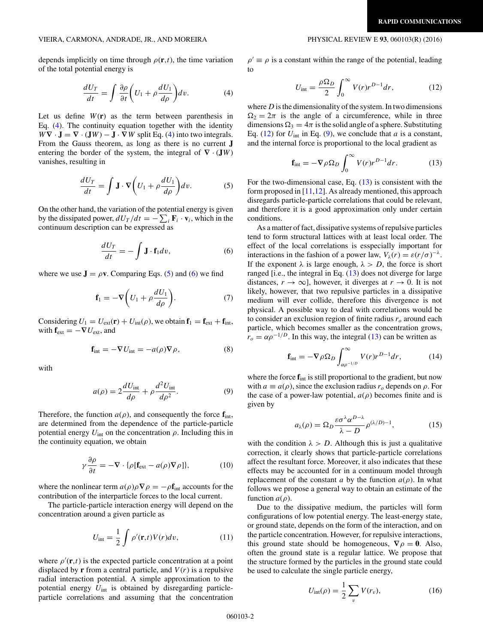## <span id="page-1-0"></span>VIEIRA, CARMONA, ANDRADE, JR., AND MOREIRA PHYSICAL REVIEW E **93**, 060103(R) (2016)

depends implicitly on time through  $\rho(\mathbf{r},t)$ , the time variation of the total potential energy is

$$
\frac{dU_T}{dt} = \int \frac{\partial \rho}{\partial t} \left( U_1 + \rho \frac{dU_1}{d\rho} \right) dv.
$$
 (4)

Let us define  $W(r)$  as the term between parenthesis in Eq. (4). The continuity equation together with the identity  $W\nabla \cdot \mathbf{J} = \nabla \cdot (\mathbf{J}W) - \mathbf{J} \cdot \nabla W$  split Eq. (4) into two integrals. From the Gauss theorem, as long as there is no current **J** entering the border of the system, the integral of  $\nabla \cdot (\mathbf{J}W)$ vanishes, resulting in

$$
\frac{dU_T}{dt} = \int \mathbf{J} \cdot \nabla \left( U_1 + \rho \frac{dU_1}{d\rho} \right) dv.
$$
 (5)

On the other hand, the variation of the potential energy is given by the dissipated power,  $dU_T/dt = -\sum_i \mathbf{F}_i \cdot \mathbf{v}_i$ , which in the continuum description can be expressed as

$$
\frac{dU_T}{dt} = -\int \mathbf{J} \cdot \mathbf{f}_1 dv,\tag{6}
$$

where we use  $J = \rho v$ . Comparing Eqs. (5) and (6) we find

$$
\mathbf{f}_1 = -\nabla \bigg( U_1 + \rho \frac{dU_1}{d\rho} \bigg). \tag{7}
$$

Considering  $U_1 = U_{ext}(\mathbf{r}) + U_{int}(\rho)$ , we obtain  $\mathbf{f}_1 = \mathbf{f}_{ext} + \mathbf{f}_{int}$ , with  $\mathbf{f}_{ext} = -\nabla U_{ext}$ , and

$$
\mathbf{f}_{\text{int}} = -\nabla U_{\text{int}} = -a(\rho)\nabla \rho,\tag{8}
$$

with

$$
a(\rho) = 2\frac{dU_{\text{int}}}{d\rho} + \rho \frac{d^2 U_{\text{int}}}{d\rho^2}.
$$
 (9)

Therefore, the function  $a(\rho)$ , and consequently the force  $f_{int}$ , are determined from the dependence of the particle-particle potential energy  $U_{\text{int}}$  on the concentration  $\rho$ . Including this in the continuity equation, we obtain

$$
\gamma \frac{\partial \rho}{\partial t} = -\nabla \cdot \{ \rho [\mathbf{f}_{\text{ext}} - a(\rho) \nabla \rho] \},\tag{10}
$$

where the nonlinear term  $a(\rho)\rho \nabla \rho = -\rho \mathbf{f}_{\text{int}}$  accounts for the contribution of the interparticle forces to the local current.

The particle-particle interaction energy will depend on the concentration around a given particle as

$$
U_{\text{int}} = \frac{1}{2} \int \rho'(\mathbf{r}, t) V(r) dv, \qquad (11)
$$

where  $\rho'(\mathbf{r},t)$  is the expected particle concentration at a point displaced by **r** from a central particle, and  $V(r)$  is a repulsive radial interaction potential. A simple approximation to the potential energy  $U_{\text{int}}$  is obtained by disregarding particleparticle correlations and assuming that the concentration

 $\rho' \equiv \rho$  is a constant within the range of the potential, leading to

$$
U_{\text{int}} = \frac{\rho \Omega_D}{2} \int_0^\infty V(r) r^{D-1} dr,\tag{12}
$$

where *D* is the dimensionality of the system. In two dimensions  $\Omega_2 = 2\pi$  is the angle of a circumference, while in three dimensions  $\Omega_3 = 4\pi$  is the solid angle of a sphere. Substituting Eq.  $(12)$  for  $U_{\text{int}}$  in Eq.  $(9)$ , we conclude that *a* is a constant, and the internal force is proportional to the local gradient as

$$
\mathbf{f}_{\text{int}} = -\nabla \rho \Omega_D \int_0^\infty V(r) r^{D-1} dr. \tag{13}
$$

For the two-dimensional case, Eq.  $(13)$  is consistent with the form proposed in  $[11,12]$ . As already mentioned, this approach disregards particle-particle correlations that could be relevant, and therefore it is a good approximation only under certain conditions.

As a matter of fact, dissipative systems of repulsive particles tend to form structural lattices with at least local order. The effect of the local correlations is esspecially important for interactions in the fashion of a power law,  $V_{\lambda}(r) = \varepsilon (r/\sigma)^{-\lambda}$ . If the exponent  $\lambda$  is large enough,  $\lambda > D$ , the force is short ranged [i.e., the integral in Eq. (13) does not diverge for large distances,  $r \to \infty$ , however, it diverges at  $r \to 0$ . It is not likely, however, that two repulsive particles in a dissipative medium will ever collide, therefore this divergence is not physical. A possible way to deal with correlations would be to consider an exclusion region of finite radius *ro* around each particle, which becomes smaller as the concentration grows,  $r_o = \alpha \rho^{-1/D}$ . In this way, the integral (13) can be written as

$$
\mathbf{f}_{\rm int} = -\nabla \rho \Omega_D \int_{\alpha \rho^{-1/D}}^{\infty} V(r) r^{D-1} dr, \qquad (14)
$$

where the force  $f_{int}$  is still proportional to the gradient, but now with  $a \equiv a(\rho)$ , since the exclusion radius  $r_\rho$  depends on  $\rho$ . For the case of a power-law potential,  $a(\rho)$  becomes finite and is given by

$$
a_{\lambda}(\rho) = \Omega_D \frac{\varepsilon \sigma^{\lambda} \alpha^{D-\lambda}}{\lambda - D} \rho^{(\lambda/D)-1}, \qquad (15)
$$

with the condition  $\lambda > D$ . Although this is just a qualitative correction, it clearly shows that particle-particle correlations affect the resultant force. Moreover, it also indicates that these effects may be accounted for in a continuum model through replacement of the constant *a* by the function  $a(\rho)$ . In what follows we propose a general way to obtain an estimate of the function  $a(\rho)$ .

Due to the dissipative medium, the particles will form configurations of low potential energy. The least-energy state, or ground state, depends on the form of the interaction, and on the particle concentration. However, for repulsive interactions, this ground state should be homogeneous,  $\nabla \rho = 0$ . Also, often the ground state is a regular lattice. We propose that the structure formed by the particles in the ground state could be used to calculate the single particle energy,

$$
U_{\rm int}(\rho) = \frac{1}{2} \sum_{v} V(r_v),
$$
 (16)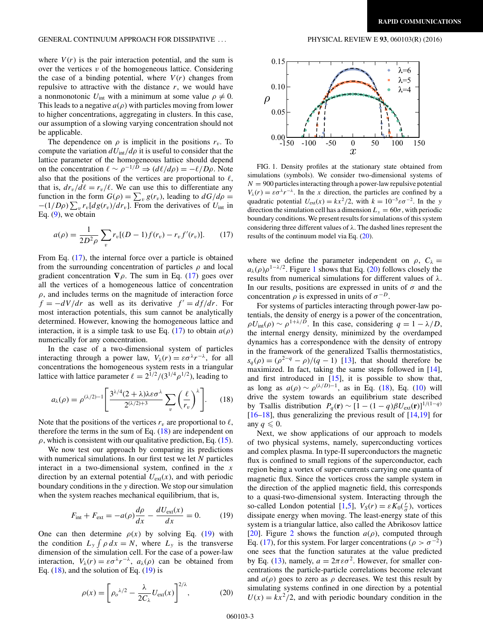<span id="page-2-0"></span>where  $V(r)$  is the pair interaction potential, and the sum is over the vertices  $v$  of the homogeneous lattice. Considering the case of a binding potential, where  $V(r)$  changes from repulsive to attractive with the distance *r*, we would have a nonmonotonic  $U_{\text{int}}$  with a minimum at some value  $\rho \neq 0$ . This leads to a negative  $a(\rho)$  with particles moving from lower to higher concentrations, aggregating in clusters. In this case, our assumption of a slowing varying concentration should not be applicable.

The dependence on  $\rho$  is implicit in the positions  $r_v$ . To compute the variation  $dU_{\text{int}}/d\rho$  it is useful to consider that the lattice parameter of the homogeneous lattice should depend on the concentration  $\ell \sim \rho^{-1/D} \Rightarrow (d\ell/d\rho) = -\ell/D\rho$ . Note also that the positions of the vertices are proportional to  $\ell$ , that is,  $dr_v/d\ell = r_v/\ell$ . We can use this to differentiate any function in the form  $G(\rho) = \sum_{v} g(r_v)$ , leading to  $dG/d\rho =$  $-(1/D\rho)\sum_{v} r_{v}[dg(r_{v})/dr_{v}]$ . From the derivatives of  $U_{int}$  in Eq.  $(9)$ , we obtain

$$
a(\rho) = \frac{1}{2D^2 \rho} \sum_{v} r_v [(D-1) f(r_v) - r_v f'(r_v)]. \tag{17}
$$

From Eq. (17), the internal force over a particle is obtained from the surrounding concentration of particles *ρ* and local gradient concentration  $\nabla \rho$ . The sum in Eq. (17) goes over all the vertices of a homogeneous lattice of concentration  $\rho$ , and includes terms on the magnitude of interaction force  $f = -dV/dr$  as well as its derivative  $f' = df/dr$ . For most interaction potentials, this sum cannot be analytically determined. However, knowing the homogeneous lattice and interaction, it is a simple task to use Eq. (17) to obtain  $a(\rho)$ numerically for any concentration.

In the case of a two-dimensional system of particles interacting through a power law,  $V_\lambda(r) = \varepsilon \sigma^\lambda r^{-\lambda}$ , for all concentrations the homogeneous system rests in a triangular lattice with lattice parameter  $\ell = 2^{1/2}/(3^{1/4}\rho^{1/2})$ , leading to

$$
a_{\lambda}(\rho) = \rho^{(\lambda/2)-1} \left[ \frac{3^{\lambda/4} (2+\lambda) \lambda \varepsilon \sigma^{\lambda}}{2^{(\lambda/2)+3}} \sum_{v} \left( \frac{\ell}{r_v} \right)^{\lambda} \right].
$$
 (18)

Note that the positions of the vertices  $r<sub>v</sub>$  are proportional to  $\ell$ , therefore the terms in the sum of Eq.  $(18)$  are independent on  $\rho$ , which is consistent with our qualitative prediction, Eq. [\(15\)](#page-1-0).

We now test our approach by comparing its predictions with numerical simulations. In our first test we let *N* particles interact in a two-dimensional system, confined in the *x* direction by an external potential  $U_{ext}(x)$ , and with periodic boundary conditions in the *y* direction. We stop our simulation when the system reaches mechanical equilibrium, that is,

$$
F_{\text{int}} + F_{\text{ext}} = -a(\rho)\frac{d\rho}{dx} - \frac{dU_{\text{ext}}(x)}{dx} = 0. \tag{19}
$$

One can then determine  $\rho(x)$  by solving Eq. (19) with the condition  $L_y \int \rho \, dx = N$ , where  $L_y$  is the transverse dimension of the simulation cell. For the case of a power-law interaction,  $V_\lambda(r) = \varepsilon \sigma^\lambda r^{-\lambda}$ ,  $a_\lambda(\rho)$  can be obtained from Eq.  $(18)$ , and the solution of Eq.  $(19)$  is

$$
\rho(x) = \left[\rho_o^{\lambda/2} - \frac{\lambda}{2C_{\lambda}} U_{\text{ext}}(x)\right]^{2/\lambda},\tag{20}
$$



FIG. 1. Density profiles at the stationary state obtained from simulations (symbols). We consider two-dimensional systems of  $N = 900$  particles interacting through a power-law repulsive potential  $V_\lambda(r) = \varepsilon \sigma^\lambda r^{-\lambda}$ . In the *x* direction, the particles are confined by a quadratic potential  $U_{ext}(x) = kx^2/2$ , with  $k = 10^{-5} \varepsilon \sigma^{-2}$ . In the *y* direction the simulation cell has a dimension  $L_y = 60\sigma$ , with periodic boundary conditions. We present results for simulations of this system considering three different values of *λ*. The dashed lines represent the results of the continuum model via Eq. (20).

where we define the parameter independent on  $\rho$ ,  $C_{\lambda}$  =  $a_{\lambda}(\rho)\rho^{1-\lambda/2}$ . Figure 1 shows that Eq. (20) follows closely the results from numerical simulations for different values of *λ*. In our results, positions are expressed in units of  $\sigma$  and the concentration  $\rho$  is expressed in units of  $\sigma^{-D}$ .

For systems of particles interacting through power-law potentials, the density of energy is a power of the concentration,  $\rho U_{\text{int}}(\rho) \sim \rho^{1+\lambda/D}$ . In this case, considering  $q = 1 - \lambda/D$ , the internal energy density, minimized by the overdamped dynamics has a correspondence with the density of entropy in the framework of the generalized Tsallis thermostatistics,  $s_q(\rho) = (\rho^{2-q} - \rho)/(q - 1)$  [\[13\]](#page-4-0), that should therefore be maximized. In fact, taking the same steps followed in [\[14\]](#page-4-0), and first introduced in [\[15\]](#page-4-0), it is possible to show that, as long as  $a(\rho) \sim \rho^{(\lambda/D)-1}$ , as in Eq. (18), Eq. [\(10\)](#page-1-0) will drive the system towards an equilibrium state described by Tsallis distribution  $P_q(\mathbf{r}) \sim [1 - (1 - q)\beta U_{\text{ext}}(\mathbf{r})]^{1/(1-q)}$  $[16–18]$ , thus generalizing the previous result of  $[14,19]$  for any  $q \leqslant 0$ .

Next, we show applications of our approach to models of two physical systems, namely, superconducting vortices and complex plasma. In type-II superconductors the magnetic flux is confined to small regions of the superconductor, each region being a vortex of super-currents carrying one quanta of magnetic flux. Since the vortices cross the sample system in the direction of the applied magnetic field, this corresponds to a quasi-two-dimensional system. Interacting through the so-called London potential [\[1,5\]](#page-4-0),  $V_S(r) = \varepsilon K_0(\frac{r}{\sigma})$ , vortices dissipate energy when moving. The least-energy state of this system is a triangular lattice, also called the Abrikosov lattice [\[20\]](#page-4-0). Figure [2](#page-3-0) shows the function  $a(\rho)$ , computed through Eq. (17), for this system. For larger concentrations ( $\rho > \sigma^{-2}$ ) one sees that the function saturates at the value predicted by Eq. [\(13\)](#page-1-0), namely,  $a = 2\pi \varepsilon \sigma^2$ . However, for smaller concentrations the particle-particle correlations become relevant and  $a(\rho)$  goes to zero as  $\rho$  decreases. We test this result by simulating systems confined in one direction by a potential  $U(x) = kx^2/2$ , and with periodic boundary condition in the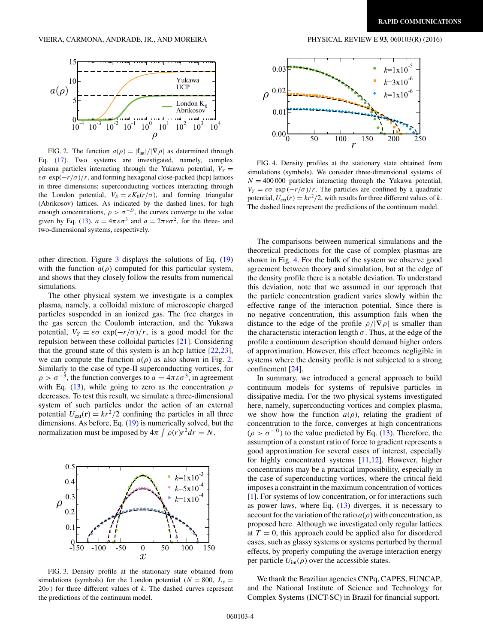<span id="page-3-0"></span>

FIG. 2. The function  $a(\rho) = |\mathbf{f}_{int}|/|\nabla \rho|$  as determined through Eq. [\(17\)](#page-2-0). Two systems are investigated, namely, complex plasma particles interacting through the Yukawa potential,  $V_Y =$  $\varepsilon \sigma \exp(-r/\sigma)/r$ , and forming hexagonal close-packed (hcp) lattices in three dimensions; superconducting vortices interacting through the London potential,  $V_s = \varepsilon K_0(r/\sigma)$ , and forming triangular (Abrikosov) lattices. As indicated by the dashed lines, for high enough concentrations,  $\rho > \sigma^{-D}$ , the curves converge to the value given by Eq. [\(13\)](#page-1-0),  $a = 4\pi \varepsilon \sigma^3$  and  $a = 2\pi \varepsilon \sigma^2$ , for the three- and two-dimensional systems, respectively.

other direction. Figure 3 displays the solutions of Eq. [\(19\)](#page-2-0) with the function  $a(\rho)$  computed for this particular system, and shows that they closely follow the results from numerical simulations.

The other physical system we investigate is a complex plasma, namely, a colloidal mixture of microscopic charged particles suspended in an ionized gas. The free charges in the gas screen the Coulomb interaction, and the Yukawa potential,  $V_Y = \varepsilon \sigma \exp(-r/\sigma)/r$ , is a good model for the repulsion between these colloidal particles [\[21\]](#page-4-0). Considering that the ground state of this system is an hcp lattice  $[22,23]$ , we can compute the function  $a(\rho)$  as also shown in Fig. 2. Similarly to the case of type-II superconducting vortices, for  $\rho > \sigma^{-3}$ , the function converges to  $a = 4\pi \varepsilon \sigma^3$ , in agreement with Eq. [\(13\)](#page-1-0), while going to zero as the concentration *ρ* decreases. To test this result, we simulate a three-dimensional system of such particles under the action of an external potential  $U_{ext}(\mathbf{r}) = kr^2/2$  confining the particles in all three dimensions. As before, Eq. [\(19\)](#page-2-0) is numerically solved, but the normalization must be imposed by  $4\pi \int \rho(r)r^2 dr = N$ .



FIG. 3. Density profile at the stationary state obtained from simulations (symbols) for the London potential ( $N = 800$ ,  $L<sub>y</sub> =$  $20\sigma$ ) for three different values of *k*. The dashed curves represent the predictions of the continuum model.



FIG. 4. Density profiles at the stationary state obtained from simulations (symbols). We consider three-dimensional systems of  $N = 400 000$  particles interacting through the Yukawa potential,  $V_Y = \varepsilon \sigma \exp(-r/\sigma)/r$ . The particles are confined by a quadratic potential,  $U_{ext}(r) = kr^2/2$ , with results for three different values of *k*. The dashed lines represent the predictions of the continuum model.

The comparisons between numerical simulations and the theoretical predictions for the case of complex plasmas are shown in Fig. 4. For the bulk of the system we observe good agreement between theory and simulation, but at the edge of the density profile there is a notable deviation. To understand this deviation, note that we assumed in our approach that the particle concentration gradient varies slowly within the effective range of the interaction potential. Since there is no negative concentration, this assumption fails when the distance to the edge of the profile  $\rho/|\nabla \rho|$  is smaller than the characteristic interaction length  $\sigma$ . Thus, at the edge of the profile a continuum description should demand higher orders of approximation. However, this effect becomes negligible in systems where the density profile is not subjected to a strong confinement [\[24\]](#page-4-0).

In summary, we introduced a general approach to build continuum models for systems of repulsive particles in dissipative media. For the two physical systems investigated here, namely, superconducting vortices and complex plasma, we show how the function  $a(\rho)$ , relating the gradient of concentration to the force, converges at high concentrations  $(\rho > \sigma^{-D})$  to the value predicted by Eq. [\(13\)](#page-1-0). Therefore, the assumption of a constant ratio of force to gradient represents a good approximation for several cases of interest, especially for highly concentrated systems [\[11,12\]](#page-4-0). However, higher concentrations may be a practical impossibility, especially in the case of superconducting vortices, where the critical field imposes a constraint in the maximum concentration of vortices [\[1\]](#page-4-0). For systems of low concentration, or for interactions such as power laws, where Eq.  $(13)$  diverges, it is necessary to account for the variation of the ratio  $a(\rho)$  with concentration, as proposed here. Although we investigated only regular lattices at  $T = 0$ , this approach could be applied also for disordered cases, such as glassy systems or systems perturbed by thermal effects, by properly computing the average interaction energy per particle  $U_{\text{int}}(\rho)$  over the accessible states.

We thank the Brazilian agencies CNPq, CAPES, FUNCAP, and the National Institute of Science and Technology for Complex Systems (INCT-SC) in Brazil for financial support.